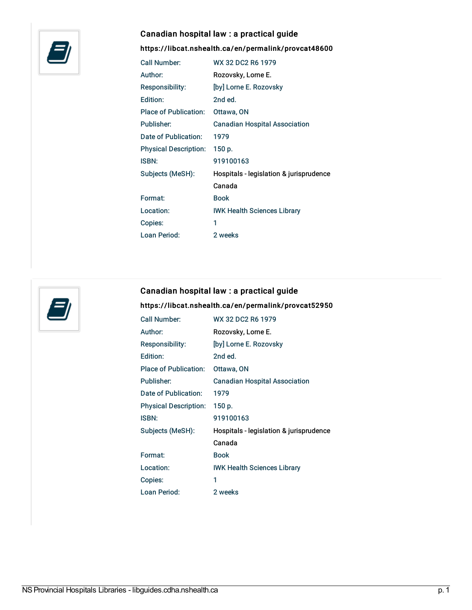

### Canadian hospital law : a practical guide

### <https://libcat.nshealth.ca/en/permalink/provcat48600>

| Call Number:                 | WX 32 DC2 R6 1979                       |
|------------------------------|-----------------------------------------|
| Author:                      | Rozovsky, Lorne E.                      |
| Responsibility:              | [by] Lorne E. Rozovsky                  |
| Edition:                     | 2nd ed.                                 |
| <b>Place of Publication:</b> | Ottawa, ON                              |
| Publisher:                   | <b>Canadian Hospital Association</b>    |
| Date of Publication:         | 1979                                    |
| <b>Physical Description:</b> | 150 p.                                  |
| ISBN:                        | 919100163                               |
| Subjects (MeSH):             | Hospitals - legislation & jurisprudence |
|                              | Canada                                  |
| Format:                      | <b>Book</b>                             |
| Location:                    | <b>IWK Health Sciences Library</b>      |
| Copies:                      | 1                                       |
| Loan Period:                 | 2 weeks                                 |



# Canadian hospital law : a practical guide

#### <https://libcat.nshealth.ca/en/permalink/provcat52950>

| Call Number:                 | WX 32 DC2 R6 1979                       |
|------------------------------|-----------------------------------------|
| Author:                      | Rozovsky, Lorne E.                      |
| Responsibility:              | [by] Lorne E. Rozovsky                  |
| Edition:                     | 2nd ed.                                 |
| Place of Publication:        | Ottawa, ON                              |
| Publisher:                   | <b>Canadian Hospital Association</b>    |
| Date of Publication:         | 1979                                    |
| <b>Physical Description:</b> | 150 p.                                  |
| ISBN:                        | 919100163                               |
| Subjects (MeSH):             | Hospitals - legislation & jurisprudence |
|                              | Canada                                  |
| Format:                      | Book                                    |
| Location:                    | <b>IWK Health Sciences Library</b>      |
| Copies:                      | 1                                       |
| Loan Period:                 | 2 weeks                                 |